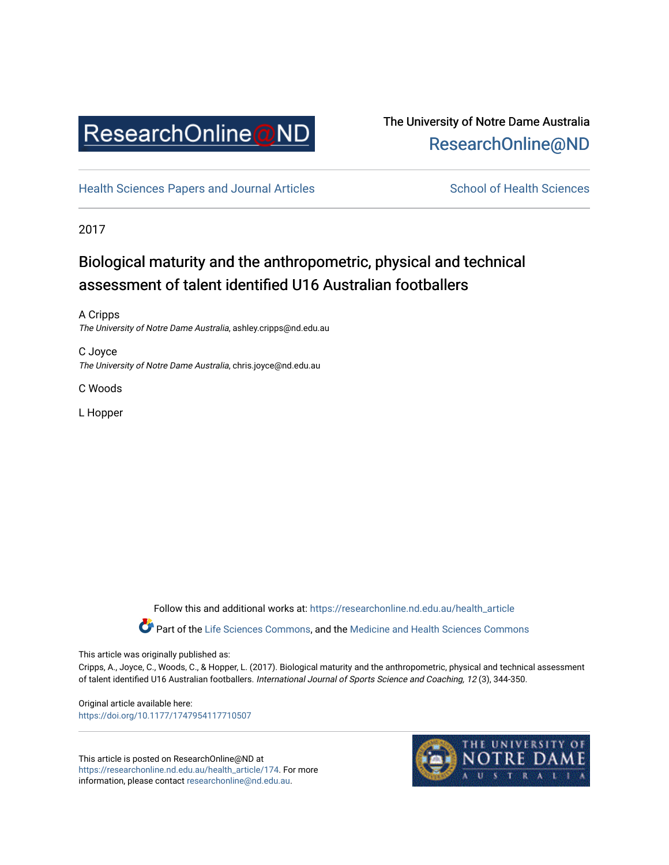

## The University of Notre Dame Australia [ResearchOnline@ND](https://researchonline.nd.edu.au/)

[Health Sciences Papers and Journal Articles](https://researchonline.nd.edu.au/health_article) School of Health Sciences

2017

# Biological maturity and the anthropometric, physical and technical assessment of talent identified U16 Australian footballers

A Cripps The University of Notre Dame Australia, ashley.cripps@nd.edu.au

C Joyce The University of Notre Dame Australia, chris.joyce@nd.edu.au

C Woods

L Hopper

Follow this and additional works at: [https://researchonline.nd.edu.au/health\\_article](https://researchonline.nd.edu.au/health_article?utm_source=researchonline.nd.edu.au%2Fhealth_article%2F174&utm_medium=PDF&utm_campaign=PDFCoverPages)

Part of the [Life Sciences Commons](http://network.bepress.com/hgg/discipline/1016?utm_source=researchonline.nd.edu.au%2Fhealth_article%2F174&utm_medium=PDF&utm_campaign=PDFCoverPages), and the Medicine and Health Sciences Commons

This article was originally published as:

Cripps, A., Joyce, C., Woods, C., & Hopper, L. (2017). Biological maturity and the anthropometric, physical and technical assessment of talent identified U16 Australian footballers. International Journal of Sports Science and Coaching, 12 (3), 344-350.

Original article available here: <https://doi.org/10.1177/1747954117710507>

This article is posted on ResearchOnline@ND at [https://researchonline.nd.edu.au/health\\_article/174](https://researchonline.nd.edu.au/health_article/174). For more information, please contact [researchonline@nd.edu.au.](mailto:researchonline@nd.edu.au)

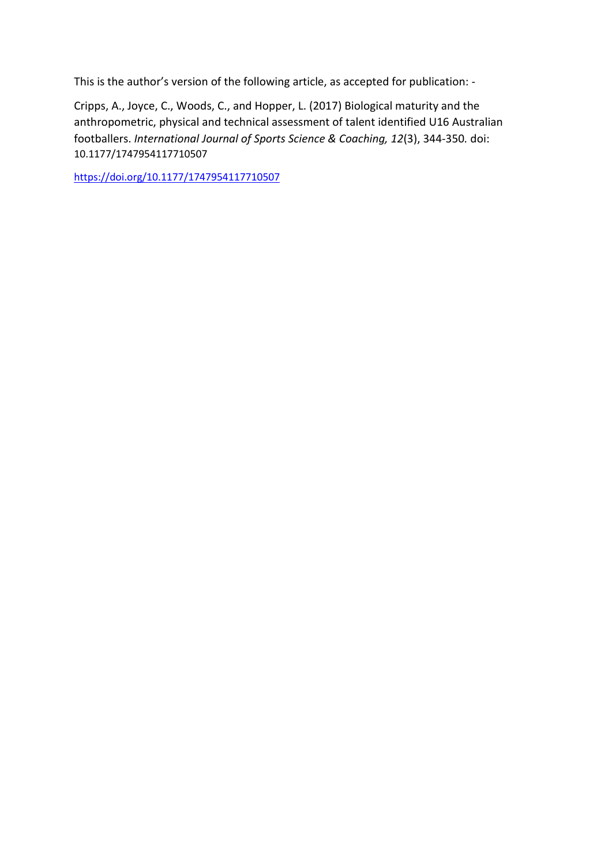This is the author's version of the following article, as accepted for publication: -

Cripps, A., Joyce, C., Woods, C., and Hopper, L. (2017) Biological maturity and the anthropometric, physical and technical assessment of talent identified U16 Australian footballers. *International Journal of Sports Science & Coaching, 12*(3), 344-350*.* doi: 10.1177/1747954117710507

<https://doi.org/10.1177/1747954117710507>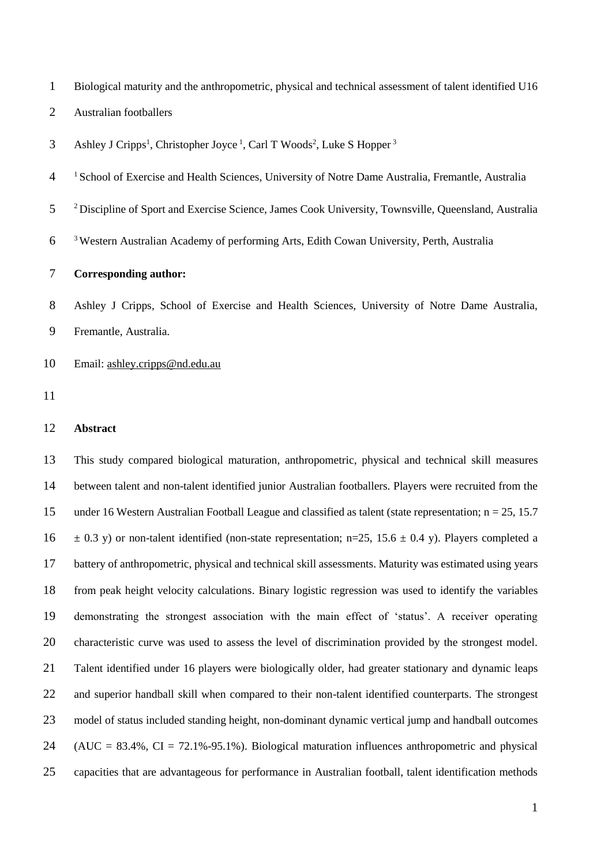Biological maturity and the anthropometric, physical and technical assessment of talent identified U16

- Australian footballers
- 3 Ashley J Cripps<sup>1</sup>, Christopher Joyce<sup>1</sup>, Carl T Woods<sup>2</sup>, Luke S Hopper<sup>3</sup>
- <sup>1</sup> School of Exercise and Health Sciences, University of Notre Dame Australia, Fremantle, Australia
- <sup>2</sup> Discipline of Sport and Exercise Science, James Cook University, Townsville, Queensland, Australia
- Western Australian Academy of performing Arts, Edith Cowan University, Perth, Australia

### **Corresponding author:**

 Ashley J Cripps, School of Exercise and Health Sciences, University of Notre Dame Australia, Fremantle, Australia.

- Email: [ashley.cripps@nd.edu.au](mailto:ashley.cripps@nd.edu.au)
- 

#### **Abstract**

 This study compared biological maturation, anthropometric, physical and technical skill measures between talent and non-talent identified junior Australian footballers. Players were recruited from the under 16 Western Australian Football League and classified as talent (state representation; n = 25, 15.7  $16 \pm 0.3$  y) or non-talent identified (non-state representation; n=25, 15.6  $\pm$  0.4 y). Players completed a battery of anthropometric, physical and technical skill assessments. Maturity was estimated using years from peak height velocity calculations. Binary logistic regression was used to identify the variables demonstrating the strongest association with the main effect of 'status'. A receiver operating characteristic curve was used to assess the level of discrimination provided by the strongest model. Talent identified under 16 players were biologically older, had greater stationary and dynamic leaps and superior handball skill when compared to their non-talent identified counterparts. The strongest model of status included standing height, non-dominant dynamic vertical jump and handball outcomes 24 (AUC =  $83.4\%$ , CI =  $72.1\%$ -95.1%). Biological maturation influences anthropometric and physical capacities that are advantageous for performance in Australian football, talent identification methods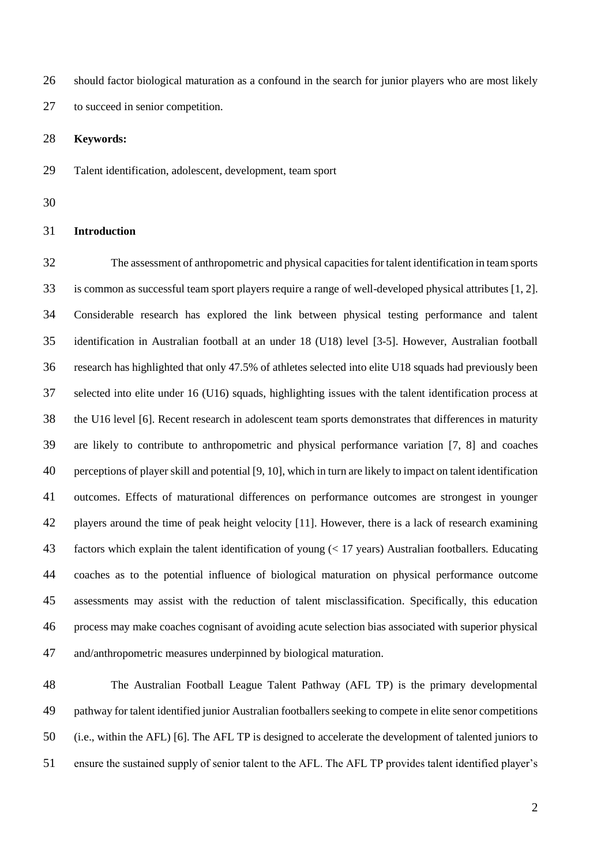should factor biological maturation as a confound in the search for junior players who are most likely to succeed in senior competition.

**Keywords:**

Talent identification, adolescent, development, team sport

#### **Introduction**

 The assessment of anthropometric and physical capacities for talent identification in team sports is common as successful team sport players require a range of well-developed physical attributes [1, 2]. Considerable research has explored the link between physical testing performance and talent identification in Australian football at an under 18 (U18) level [3-5]. However, Australian football research has highlighted that only 47.5% of athletes selected into elite U18 squads had previously been selected into elite under 16 (U16) squads, highlighting issues with the talent identification process at the U16 level [6]. Recent research in adolescent team sports demonstrates that differences in maturity are likely to contribute to anthropometric and physical performance variation [7, 8] and coaches perceptions of player skill and potential [9, 10], which in turn are likely to impact on talent identification outcomes. Effects of maturational differences on performance outcomes are strongest in younger players around the time of peak height velocity [11]. However, there is a lack of research examining factors which explain the talent identification of young (< 17 years) Australian footballers. Educating coaches as to the potential influence of biological maturation on physical performance outcome assessments may assist with the reduction of talent misclassification. Specifically, this education process may make coaches cognisant of avoiding acute selection bias associated with superior physical and/anthropometric measures underpinned by biological maturation.

 The Australian Football League Talent Pathway (AFL TP) is the primary developmental pathway for talent identified junior Australian footballers seeking to compete in elite senor competitions (i.e., within the AFL) [6]. The AFL TP is designed to accelerate the development of talented juniors to ensure the sustained supply of senior talent to the AFL. The AFL TP provides talent identified player's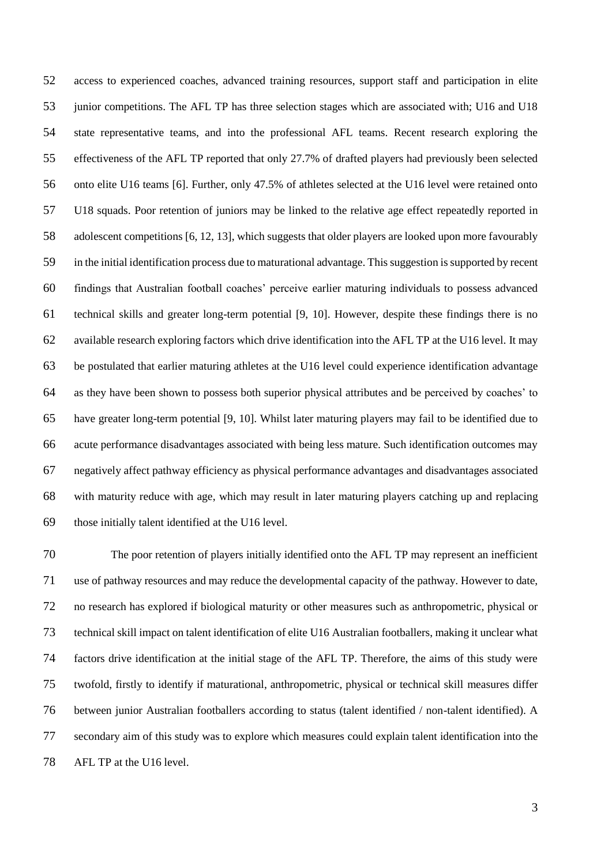access to experienced coaches, advanced training resources, support staff and participation in elite junior competitions. The AFL TP has three selection stages which are associated with; U16 and U18 state representative teams, and into the professional AFL teams. Recent research exploring the effectiveness of the AFL TP reported that only 27.7% of drafted players had previously been selected onto elite U16 teams [6]. Further, only 47.5% of athletes selected at the U16 level were retained onto U18 squads. Poor retention of juniors may be linked to the relative age effect repeatedly reported in adolescent competitions [6, 12, 13], which suggests that older players are looked upon more favourably in the initial identification process due to maturational advantage. This suggestion is supported by recent findings that Australian football coaches' perceive earlier maturing individuals to possess advanced technical skills and greater long-term potential [9, 10]. However, despite these findings there is no available research exploring factors which drive identification into the AFL TP at the U16 level. It may be postulated that earlier maturing athletes at the U16 level could experience identification advantage as they have been shown to possess both superior physical attributes and be perceived by coaches' to have greater long-term potential [9, 10]. Whilst later maturing players may fail to be identified due to acute performance disadvantages associated with being less mature. Such identification outcomes may negatively affect pathway efficiency as physical performance advantages and disadvantages associated with maturity reduce with age, which may result in later maturing players catching up and replacing those initially talent identified at the U16 level.

 The poor retention of players initially identified onto the AFL TP may represent an inefficient use of pathway resources and may reduce the developmental capacity of the pathway. However to date, no research has explored if biological maturity or other measures such as anthropometric, physical or technical skill impact on talent identification of elite U16 Australian footballers, making it unclear what factors drive identification at the initial stage of the AFL TP. Therefore, the aims of this study were twofold, firstly to identify if maturational, anthropometric, physical or technical skill measures differ between junior Australian footballers according to status (talent identified / non-talent identified). A secondary aim of this study was to explore which measures could explain talent identification into the AFL TP at the U16 level.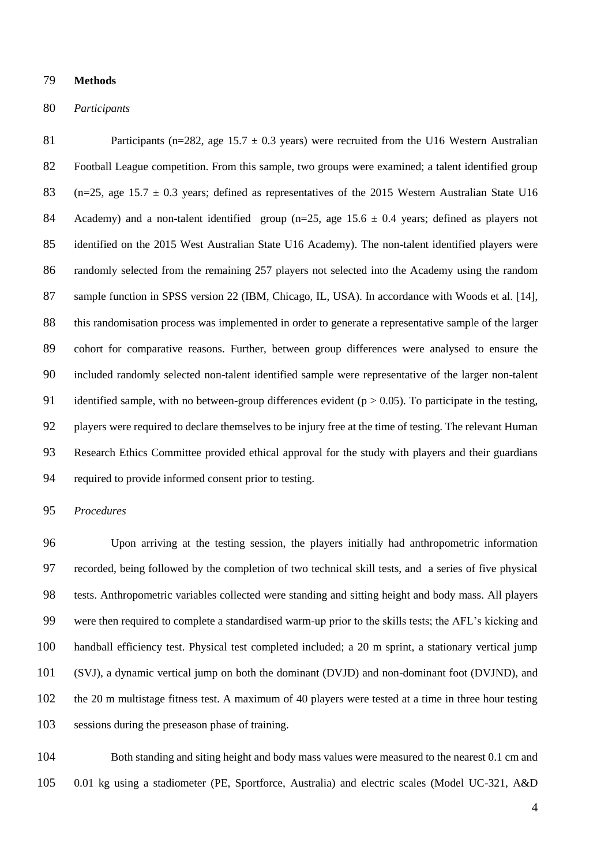#### **Methods**

#### *Participants*

81 Participants (n=282, age 15.7  $\pm$  0.3 years) were recruited from the U16 Western Australian Football League competition. From this sample, two groups were examined; a talent identified group 83 (n=25, age 15.7  $\pm$  0.3 years; defined as representatives of the 2015 Western Australian State U16 84 Academy) and a non-talent identified group ( $n=25$ , age 15.6  $\pm$  0.4 years; defined as players not identified on the 2015 West Australian State U16 Academy). The non-talent identified players were randomly selected from the remaining 257 players not selected into the Academy using the random 87 sample function in SPSS version 22 (IBM, Chicago, IL, USA). In accordance with Woods et al. [14], this randomisation process was implemented in order to generate a representative sample of the larger cohort for comparative reasons. Further, between group differences were analysed to ensure the included randomly selected non-talent identified sample were representative of the larger non-talent 91 identified sample, with no between-group differences evident ( $p > 0.05$ ). To participate in the testing, players were required to declare themselves to be injury free at the time of testing. The relevant Human Research Ethics Committee provided ethical approval for the study with players and their guardians required to provide informed consent prior to testing.

#### *Procedures*

 Upon arriving at the testing session, the players initially had anthropometric information recorded, being followed by the completion of two technical skill tests, and a series of five physical tests. Anthropometric variables collected were standing and sitting height and body mass. All players were then required to complete a standardised warm-up prior to the skills tests; the AFL's kicking and handball efficiency test. Physical test completed included; a 20 m sprint, a stationary vertical jump (SVJ), a dynamic vertical jump on both the dominant (DVJD) and non-dominant foot (DVJND), and the 20 m multistage fitness test. A maximum of 40 players were tested at a time in three hour testing sessions during the preseason phase of training.

 Both standing and siting height and body mass values were measured to the nearest 0.1 cm and 0.01 kg using a stadiometer (PE, Sportforce, Australia) and electric scales (Model UC-321, A&D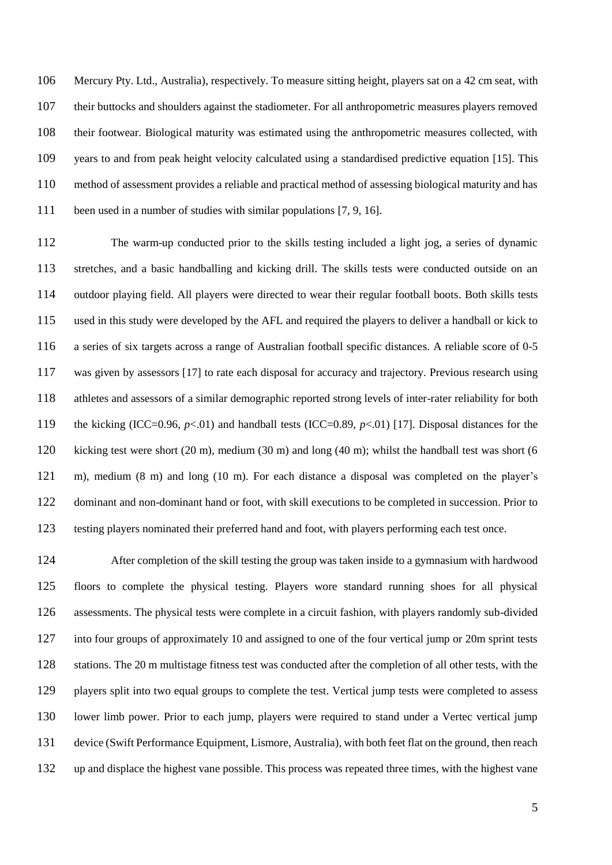Mercury Pty. Ltd., Australia), respectively. To measure sitting height, players sat on a 42 cm seat, with their buttocks and shoulders against the stadiometer. For all anthropometric measures players removed their footwear. Biological maturity was estimated using the anthropometric measures collected, with years to and from peak height velocity calculated using a standardised predictive equation [15]. This method of assessment provides a reliable and practical method of assessing biological maturity and has been used in a number of studies with similar populations [7, 9, 16].

 The warm-up conducted prior to the skills testing included a light jog, a series of dynamic stretches, and a basic handballing and kicking drill. The skills tests were conducted outside on an outdoor playing field. All players were directed to wear their regular football boots. Both skills tests used in this study were developed by the AFL and required the players to deliver a handball or kick to a series of six targets across a range of Australian football specific distances. A reliable score of 0-5 was given by assessors [17] to rate each disposal for accuracy and trajectory. Previous research using athletes and assessors of a similar demographic reported strong levels of inter-rater reliability for both the kicking (ICC=0.96, *p*<.01) and handball tests (ICC=0.89, *p*<.01) [17]. Disposal distances for the kicking test were short (20 m), medium (30 m) and long (40 m); whilst the handball test was short (6 m), medium (8 m) and long (10 m). For each distance a disposal was completed on the player's dominant and non-dominant hand or foot, with skill executions to be completed in succession. Prior to testing players nominated their preferred hand and foot, with players performing each test once.

 After completion of the skill testing the group was taken inside to a gymnasium with hardwood floors to complete the physical testing. Players wore standard running shoes for all physical assessments. The physical tests were complete in a circuit fashion, with players randomly sub-divided into four groups of approximately 10 and assigned to one of the four vertical jump or 20m sprint tests stations. The 20 m multistage fitness test was conducted after the completion of all other tests, with the players split into two equal groups to complete the test. Vertical jump tests were completed to assess lower limb power. Prior to each jump, players were required to stand under a Vertec vertical jump device (Swift Performance Equipment, Lismore, Australia), with both feet flat on the ground, then reach up and displace the highest vane possible. This process was repeated three times, with the highest vane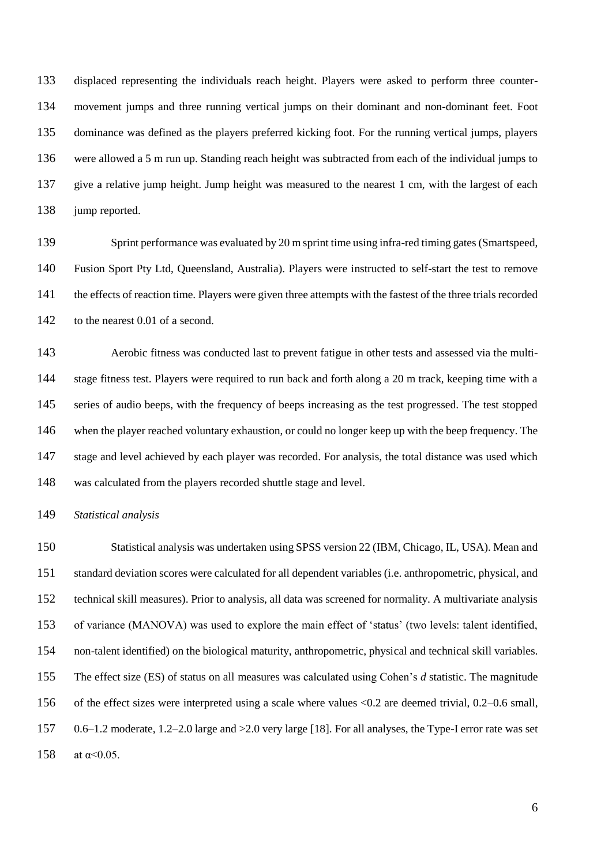displaced representing the individuals reach height. Players were asked to perform three counter- movement jumps and three running vertical jumps on their dominant and non-dominant feet. Foot dominance was defined as the players preferred kicking foot. For the running vertical jumps, players were allowed a 5 m run up. Standing reach height was subtracted from each of the individual jumps to give a relative jump height. Jump height was measured to the nearest 1 cm, with the largest of each 138 jump reported.

 Sprint performance was evaluated by 20 m sprint time using infra-red timing gates (Smartspeed, Fusion Sport Pty Ltd, Queensland, Australia). Players were instructed to self-start the test to remove the effects of reaction time. Players were given three attempts with the fastest of the three trials recorded 142 to the nearest 0.01 of a second.

 Aerobic fitness was conducted last to prevent fatigue in other tests and assessed via the multi- stage fitness test. Players were required to run back and forth along a 20 m track, keeping time with a series of audio beeps, with the frequency of beeps increasing as the test progressed. The test stopped when the player reached voluntary exhaustion, or could no longer keep up with the beep frequency. The stage and level achieved by each player was recorded. For analysis, the total distance was used which was calculated from the players recorded shuttle stage and level.

*Statistical analysis*

 Statistical analysis was undertaken using SPSS version 22 (IBM, Chicago, IL, USA). Mean and standard deviation scores were calculated for all dependent variables (i.e. anthropometric, physical, and technical skill measures). Prior to analysis, all data was screened for normality. A multivariate analysis of variance (MANOVA) was used to explore the main effect of 'status' (two levels: talent identified, non-talent identified) on the biological maturity, anthropometric, physical and technical skill variables. The effect size (ES) of status on all measures was calculated using Cohen's *d* statistic. The magnitude of the effect sizes were interpreted using a scale where values <0.2 are deemed trivial, 0.2–0.6 small, 0.6–1.2 moderate, 1.2–2.0 large and >2.0 very large [18]. For all analyses, the Type-I error rate was set 158 at  $\alpha$  < 0.05.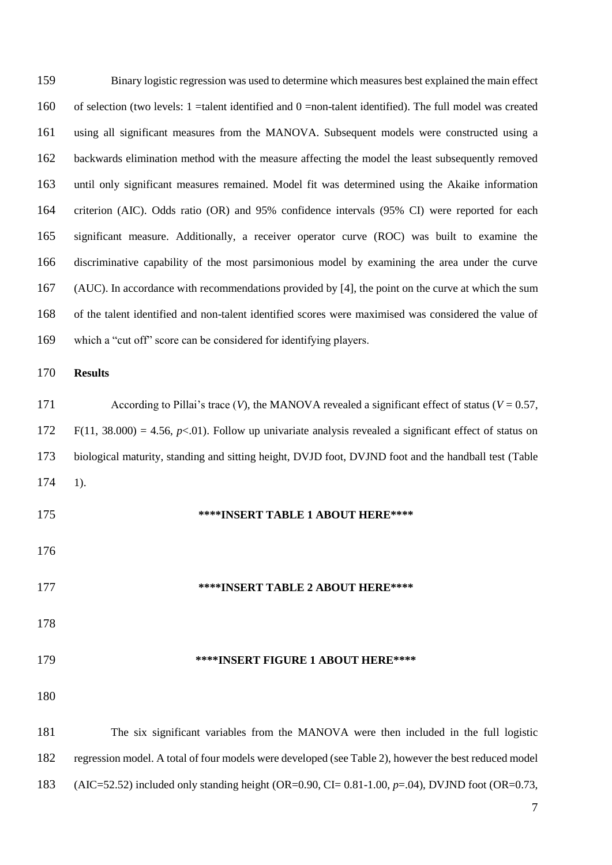| 159 | Binary logistic regression was used to determine which measures best explained the main effect               |
|-----|--------------------------------------------------------------------------------------------------------------|
| 160 | of selection (two levels: $1$ =talent identified and $0$ =non-talent identified). The full model was created |
| 161 | using all significant measures from the MANOVA. Subsequent models were constructed using a                   |
| 162 | backwards elimination method with the measure affecting the model the least subsequently removed             |
| 163 | until only significant measures remained. Model fit was determined using the Akaike information              |
| 164 | criterion (AIC). Odds ratio (OR) and 95% confidence intervals (95% CI) were reported for each                |
| 165 | significant measure. Additionally, a receiver operator curve (ROC) was built to examine the                  |
| 166 | discriminative capability of the most parsimonious model by examining the area under the curve               |
| 167 | (AUC). In accordance with recommendations provided by [4], the point on the curve at which the sum           |
| 168 | of the talent identified and non-talent identified scores were maximised was considered the value of         |
| 169 | which a "cut off" score can be considered for identifying players.                                           |
| 170 | <b>Results</b>                                                                                               |
| 171 | According to Pillai's trace $(V)$ , the MANOVA revealed a significant effect of status ( $V = 0.57$ ,        |
| 172 | $F(11, 38.000) = 4.56$ , $p<0.01$ . Follow up univariate analysis revealed a significant effect of status on |
| 173 | biological maturity, standing and sitting height, DVJD foot, DVJND foot and the handball test (Table         |
| 174 | $1$ ).                                                                                                       |
| 175 | ****INSERT TABLE 1 ABOUT HERE****                                                                            |
| 176 |                                                                                                              |
| 177 | ****INSERT TABLE 2 ABOUT HERE****                                                                            |
| 178 |                                                                                                              |
| 179 | ****INSERT FIGURE 1 ABOUT HERE****                                                                           |
| 180 |                                                                                                              |
| 181 | The six significant variables from the MANOVA were then included in the full logistic                        |
| 182 | regression model. A total of four models were developed (see Table 2), however the best reduced model        |
| 183 | (AIC=52.52) included only standing height (OR=0.90, CI= 0.81-1.00, $p=0.04$ ), DVJND foot (OR=0.73,          |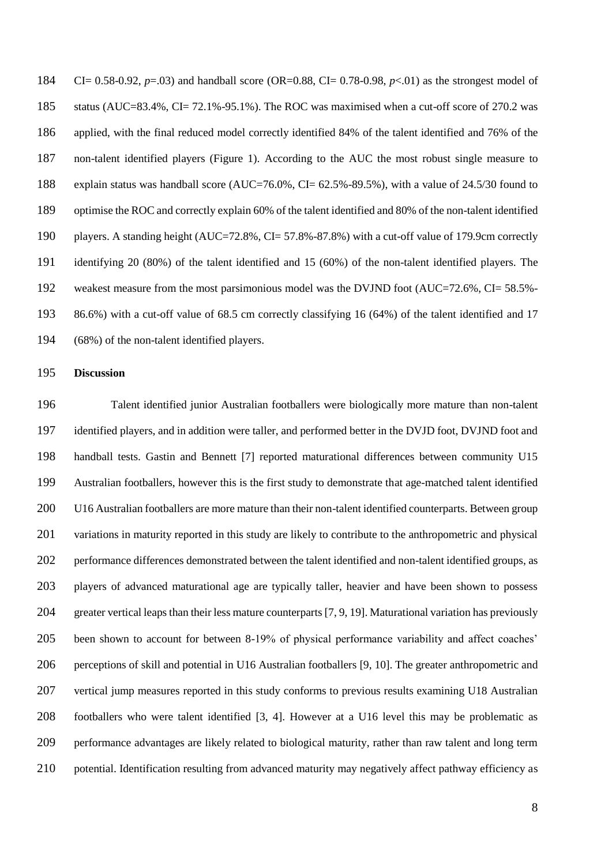CI= 0.58-0.92, *p*=.03) and handball score (OR=0.88, CI= 0.78-0.98, *p*<.01) as the strongest model of status (AUC=83.4%, CI= 72.1%-95.1%). The ROC was maximised when a cut-off score of 270.2 was applied, with the final reduced model correctly identified 84% of the talent identified and 76% of the non-talent identified players (Figure 1). According to the AUC the most robust single measure to explain status was handball score (AUC=76.0%, CI= 62.5%-89.5%), with a value of 24.5/30 found to optimise the ROC and correctly explain 60% of the talent identified and 80% of the non-talent identified players. A standing height (AUC=72.8%, CI= 57.8%-87.8%) with a cut-off value of 179.9cm correctly identifying 20 (80%) of the talent identified and 15 (60%) of the non-talent identified players. The weakest measure from the most parsimonious model was the DVJND foot (AUC=72.6%, CI= 58.5%- 86.6%) with a cut-off value of 68.5 cm correctly classifying 16 (64%) of the talent identified and 17 (68%) of the non-talent identified players.

#### **Discussion**

 Talent identified junior Australian footballers were biologically more mature than non-talent identified players, and in addition were taller, and performed better in the DVJD foot, DVJND foot and handball tests. Gastin and Bennett [7] reported maturational differences between community U15 Australian footballers, however this is the first study to demonstrate that age-matched talent identified U16 Australian footballers are more mature than their non-talent identified counterparts. Between group variations in maturity reported in this study are likely to contribute to the anthropometric and physical performance differences demonstrated between the talent identified and non-talent identified groups, as players of advanced maturational age are typically taller, heavier and have been shown to possess greater vertical leaps than their less mature counterparts [7, 9, 19]. Maturational variation has previously been shown to account for between 8-19% of physical performance variability and affect coaches' perceptions of skill and potential in U16 Australian footballers [9, 10]. The greater anthropometric and vertical jump measures reported in this study conforms to previous results examining U18 Australian footballers who were talent identified [3, 4]. However at a U16 level this may be problematic as performance advantages are likely related to biological maturity, rather than raw talent and long term 210 potential. Identification resulting from advanced maturity may negatively affect pathway efficiency as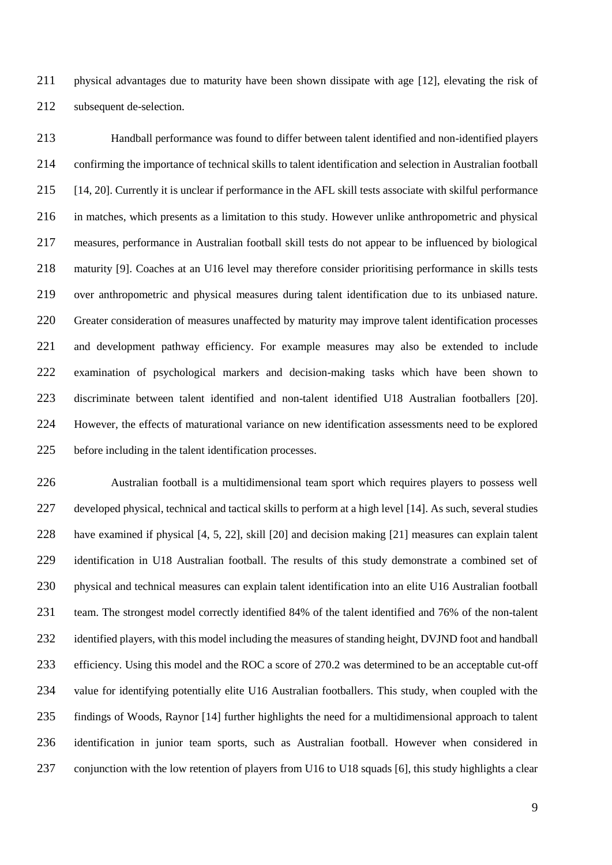physical advantages due to maturity have been shown dissipate with age [12], elevating the risk of subsequent de-selection.

 Handball performance was found to differ between talent identified and non-identified players confirming the importance of technical skills to talent identification and selection in Australian football [14, 20]. Currently it is unclear if performance in the AFL skill tests associate with skilful performance in matches, which presents as a limitation to this study. However unlike anthropometric and physical measures, performance in Australian football skill tests do not appear to be influenced by biological maturity [9]. Coaches at an U16 level may therefore consider prioritising performance in skills tests over anthropometric and physical measures during talent identification due to its unbiased nature. Greater consideration of measures unaffected by maturity may improve talent identification processes and development pathway efficiency. For example measures may also be extended to include examination of psychological markers and decision-making tasks which have been shown to discriminate between talent identified and non-talent identified U18 Australian footballers [20]. However, the effects of maturational variance on new identification assessments need to be explored before including in the talent identification processes.

 Australian football is a multidimensional team sport which requires players to possess well developed physical, technical and tactical skills to perform at a high level [14]. As such, several studies have examined if physical [4, 5, 22], skill [20] and decision making [21] measures can explain talent identification in U18 Australian football. The results of this study demonstrate a combined set of physical and technical measures can explain talent identification into an elite U16 Australian football team. The strongest model correctly identified 84% of the talent identified and 76% of the non-talent 232 identified players, with this model including the measures of standing height, DVJND foot and handball efficiency. Using this model and the ROC a score of 270.2 was determined to be an acceptable cut-off value for identifying potentially elite U16 Australian footballers. This study, when coupled with the findings of Woods, Raynor [14] further highlights the need for a multidimensional approach to talent identification in junior team sports, such as Australian football. However when considered in conjunction with the low retention of players from U16 to U18 squads [6], this study highlights a clear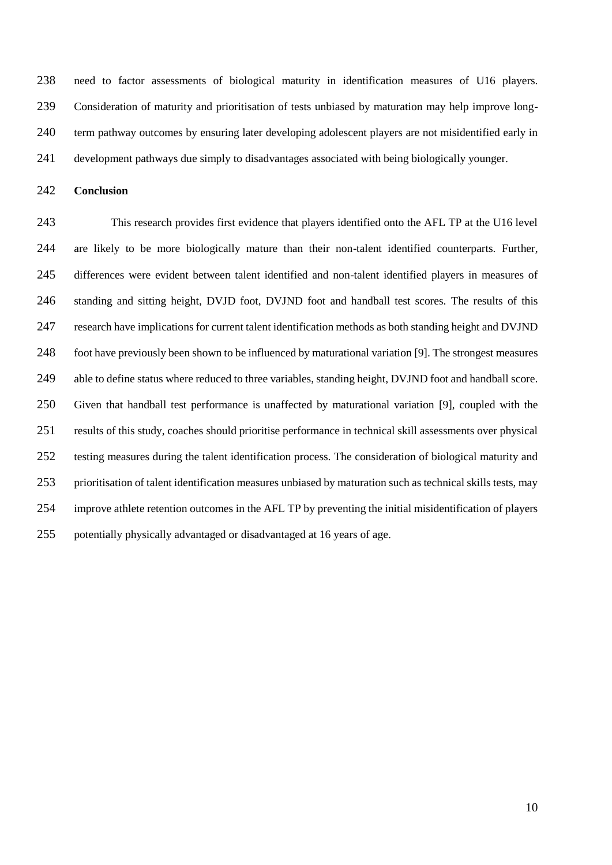need to factor assessments of biological maturity in identification measures of U16 players. Consideration of maturity and prioritisation of tests unbiased by maturation may help improve long- term pathway outcomes by ensuring later developing adolescent players are not misidentified early in development pathways due simply to disadvantages associated with being biologically younger.

**Conclusion**

 This research provides first evidence that players identified onto the AFL TP at the U16 level are likely to be more biologically mature than their non-talent identified counterparts. Further, differences were evident between talent identified and non-talent identified players in measures of standing and sitting height, DVJD foot, DVJND foot and handball test scores. The results of this research have implications for current talent identification methods as both standing height and DVJND foot have previously been shown to be influenced by maturational variation [9]. The strongest measures able to define status where reduced to three variables, standing height, DVJND foot and handball score. Given that handball test performance is unaffected by maturational variation [9], coupled with the results of this study, coaches should prioritise performance in technical skill assessments over physical testing measures during the talent identification process. The consideration of biological maturity and prioritisation of talent identification measures unbiased by maturation such as technical skills tests, may improve athlete retention outcomes in the AFL TP by preventing the initial misidentification of players potentially physically advantaged or disadvantaged at 16 years of age.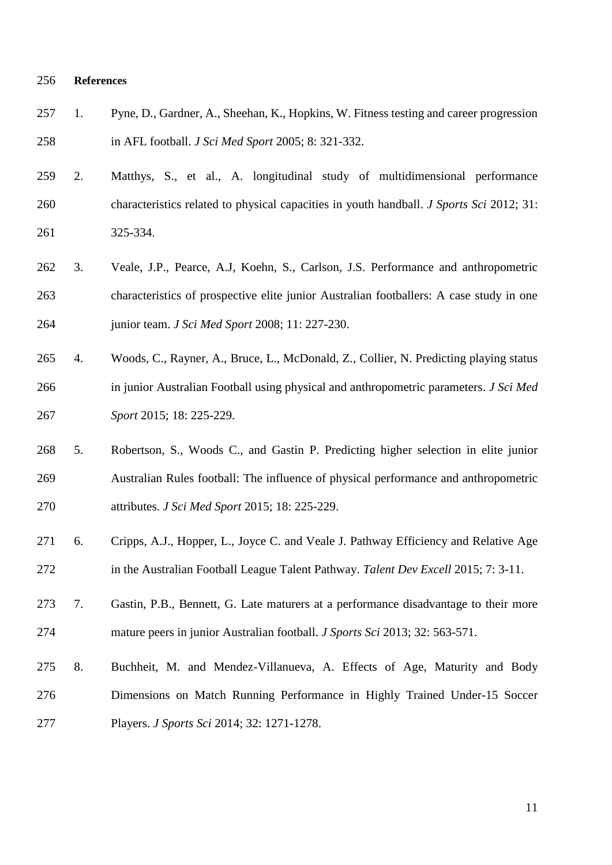#### **References**

- 1. Pyne, D., Gardner, A., Sheehan, K., Hopkins, W. Fitness testing and career progression in AFL football. *J Sci Med Sport* 2005; 8: 321-332.
- 2. Matthys, S., et al., A. longitudinal study of multidimensional performance characteristics related to physical capacities in youth handball. *J Sports Sci* 2012; 31: 325-334.
- 3. Veale, J.P., Pearce, A.J, Koehn, S., Carlson, J.S. Performance and anthropometric characteristics of prospective elite junior Australian footballers: A case study in one junior team. *J Sci Med Sport* 2008; 11: 227-230.
- 4. Woods, C., Rayner, A., Bruce, L., McDonald, Z., Collier, N. Predicting playing status in junior Australian Football using physical and anthropometric parameters. *J Sci Med Sport* 2015; 18: 225-229.
- 5. Robertson, S., Woods C., and Gastin P. Predicting higher selection in elite junior Australian Rules football: The influence of physical performance and anthropometric attributes. *J Sci Med Sport* 2015; 18: 225-229.
- 6. Cripps, A.J., Hopper, L., Joyce C. and Veale J. Pathway Efficiency and Relative Age in the Australian Football League Talent Pathway. *Talent Dev Excell* 2015; 7: 3-11.
- 7. Gastin, P.B., Bennett, G. Late maturers at a performance disadvantage to their more mature peers in junior Australian football. *J Sports Sci* 2013; 32: 563-571.
- 8. Buchheit, M. and Mendez-Villanueva, A. Effects of Age, Maturity and Body Dimensions on Match Running Performance in Highly Trained Under-15 Soccer Players. *J Sports Sci* 2014; 32: 1271-1278.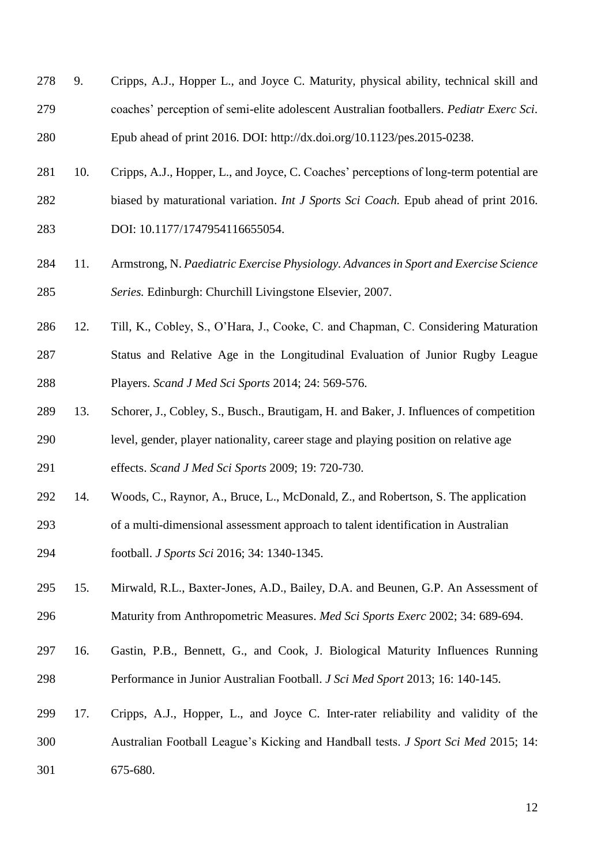- 9. Cripps, A.J., Hopper L., and Joyce C. Maturity, physical ability, technical skill and coaches' perception of semi-elite adolescent Australian footballers. *Pediatr Exerc Sci*. Epub ahead of print 2016. DOI: http://dx.doi.org/10.1123/pes.2015-0238.
- 10. Cripps, A.J., Hopper, L., and Joyce, C. Coaches' perceptions of long-term potential are biased by maturational variation. *Int J Sports Sci Coach.* Epub ahead of print 2016. DOI: 10.1177/1747954116655054.
- 11. Armstrong, N. *Paediatric Exercise Physiology. Advances in Sport and Exercise Science Series.* Edinburgh: Churchill Livingstone Elsevier, 2007.
- 12. Till, K., Cobley, S., O'Hara, J., Cooke, C. and Chapman, C. Considering Maturation Status and Relative Age in the Longitudinal Evaluation of Junior Rugby League Players. *Scand J Med Sci Sports* 2014; 24: 569-576.
- 13. Schorer, J., Cobley, S., Busch., Brautigam, H. and Baker, J. Influences of competition level, gender, player nationality, career stage and playing position on relative age effects. *Scand J Med Sci Sports* 2009; 19: 720-730.
- 14. Woods, C., Raynor, A., Bruce, L., McDonald, Z., and Robertson, S. The application
- of a multi-dimensional assessment approach to talent identification in Australian football. *J Sports Sci* 2016; 34: 1340-1345.
- 15. Mirwald, R.L., Baxter-Jones, A.D., Bailey, D.A. and Beunen, G.P. An Assessment of Maturity from Anthropometric Measures. *Med Sci Sports Exerc* 2002; 34: 689-694.
- 16. Gastin, P.B., Bennett, G., and Cook, J. Biological Maturity Influences Running Performance in Junior Australian Football. *J Sci Med Sport* 2013; 16: 140-145.
- 17. Cripps, A.J., Hopper, L., and Joyce C. Inter-rater reliability and validity of the Australian Football League's Kicking and Handball tests. *J Sport Sci Med* 2015; 14: 675-680.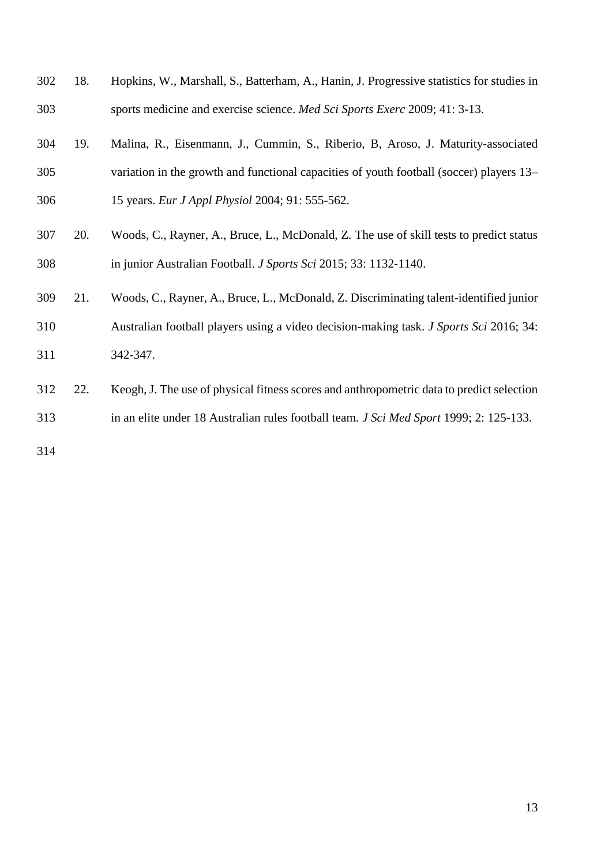| 302 | 18. | Hopkins, W., Marshall, S., Batterham, A., Hanin, J. Progressive statistics for studies in     |
|-----|-----|-----------------------------------------------------------------------------------------------|
| 303 |     | sports medicine and exercise science. Med Sci Sports Exerc 2009; 41: 3-13.                    |
| 304 | 19. | Malina, R., Eisenmann, J., Cummin, S., Riberio, B, Aroso, J. Maturity-associated              |
| 305 |     | variation in the growth and functional capacities of youth football (soccer) players 13-      |
| 306 |     | 15 years. Eur J Appl Physiol 2004; 91: 555-562.                                               |
| 307 | 20. | Woods, C., Rayner, A., Bruce, L., McDonald, Z. The use of skill tests to predict status       |
| 308 |     | in junior Australian Football. J Sports Sci 2015; 33: 1132-1140.                              |
| 309 | 21. | Woods, C., Rayner, A., Bruce, L., McDonald, Z. Discriminating talent-identified junior        |
| 310 |     | Australian football players using a video decision-making task. <i>J Sports Sci</i> 2016; 34: |
| 311 |     | 342-347.                                                                                      |
| 312 | 22. | Keogh, J. The use of physical fitness scores and anthropometric data to predict selection     |
| 313 |     | in an elite under 18 Australian rules football team. J Sci Med Sport 1999; 2: 125-133.        |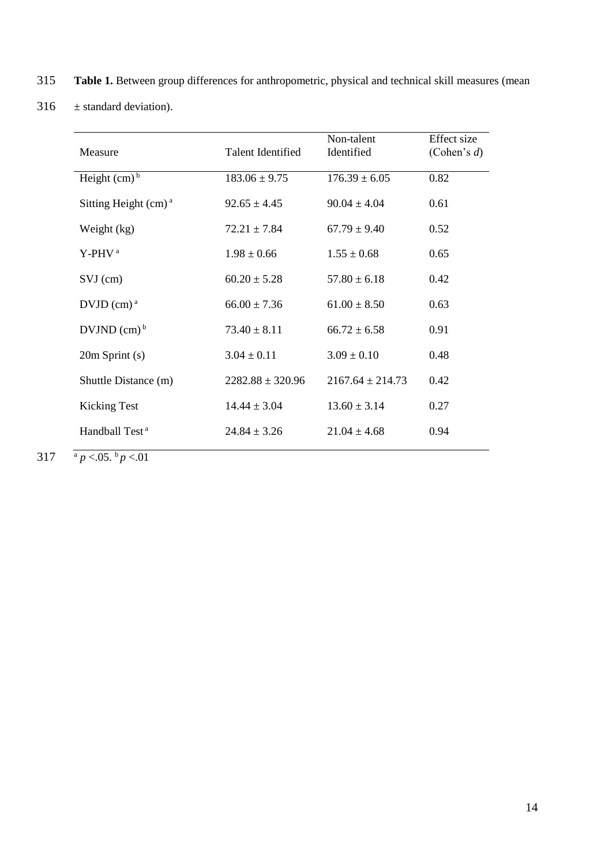- 315 **Table 1.** Between group differences for anthropometric, physical and technical skill measures (mean
- 316  $\pm$  standard deviation).

| Measure                               | <b>Talent Identified</b> | Non-talent<br>Identified | Effect size<br>(Cohen's $d$ ) |
|---------------------------------------|--------------------------|--------------------------|-------------------------------|
| Height $(cm)b$                        | $183.06 \pm 9.75$        | $176.39 \pm 6.05$        | 0.82                          |
| Sitting Height $(cm)a$                | $92.65 \pm 4.45$         | $90.04 \pm 4.04$         | 0.61                          |
| Weight (kg)                           | $72.21 \pm 7.84$         | $67.79 \pm 9.40$         | 0.52                          |
| Y-PHV <sup>a</sup>                    | $1.98 \pm 0.66$          | $1.55 \pm 0.68$          | 0.65                          |
| $SVJ$ (cm)                            | $60.20 \pm 5.28$         | $57.80 \pm 6.18$         | 0.42                          |
| $DVJD$ (cm) <sup><math>a</math></sup> | $66.00 \pm 7.36$         | $61.00 \pm 8.50$         | 0.63                          |
| DVJND(cm) <sup>b</sup>                | $73.40 \pm 8.11$         | $66.72 \pm 6.58$         | 0.91                          |
| $20m$ Sprint (s)                      | $3.04 \pm 0.11$          | $3.09 \pm 0.10$          | 0.48                          |
| Shuttle Distance (m)                  | $2282.88 \pm 320.96$     | $2167.64 \pm 214.73$     | 0.42                          |
| <b>Kicking Test</b>                   | $14.44 \pm 3.04$         | $13.60 \pm 3.14$         | 0.27                          |
| Handball Test <sup>a</sup>            | $24.84 \pm 3.26$         | $21.04 \pm 4.68$         | 0.94                          |

317  $\frac{a}{p}$  <.05.  $\frac{b}{p}$  <.01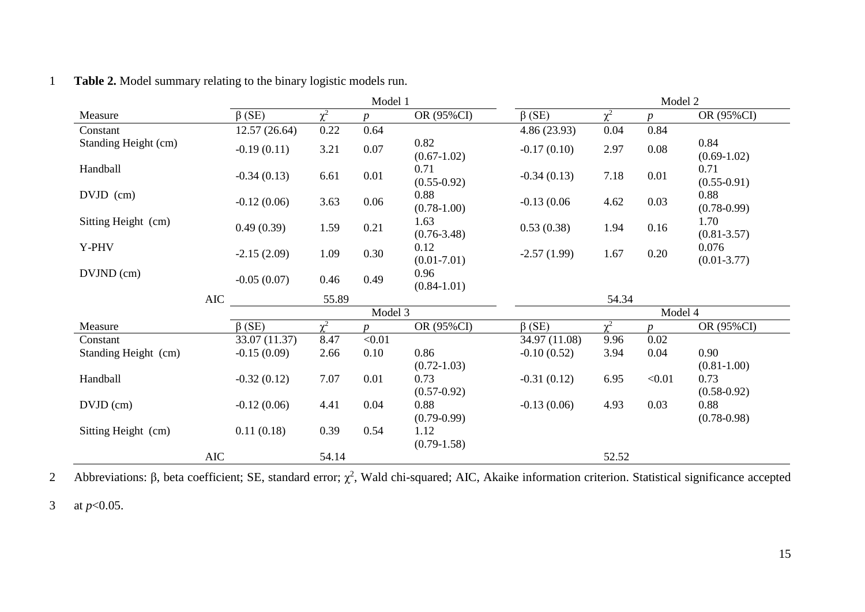|                      |               | Model 1  |          |                         | Model 2       |                     |                  |                          |
|----------------------|---------------|----------|----------|-------------------------|---------------|---------------------|------------------|--------------------------|
| Measure              | $\beta$ (SE)  | $\chi^2$ |          | OR (95%CI)              | $\beta$ (SE)  | $\chi^2$            | $\boldsymbol{p}$ | OR (95%CI)               |
| Constant             | 12.57(26.64)  | 0.22     | 0.64     |                         | 4.86(23.93)   | 0.04                | 0.84             |                          |
| Standing Height (cm) | $-0.19(0.11)$ | 3.21     | $0.07\,$ | 0.82<br>$(0.67-1.02)$   | $-0.17(0.10)$ | 2.97                | 0.08             | 0.84<br>$(0.69-1.02)$    |
| Handball             | $-0.34(0.13)$ | 6.61     | 0.01     | 0.71<br>$(0.55 - 0.92)$ | $-0.34(0.13)$ | 7.18                | 0.01             | 0.71<br>$(0.55-0.91)$    |
| DVJD (cm)            | $-0.12(0.06)$ | 3.63     | 0.06     | 0.88<br>$(0.78-1.00)$   | $-0.13(0.06)$ | 4.62                | 0.03             | 0.88<br>$(0.78 - 0.99)$  |
| Sitting Height (cm)  | 0.49(0.39)    | 1.59     | 0.21     | 1.63<br>$(0.76 - 3.48)$ | 0.53(0.38)    | 1.94                | 0.16             | 1.70<br>$(0.81 - 3.57)$  |
| Y-PHV                | $-2.15(2.09)$ | 1.09     | 0.30     | 0.12<br>$(0.01 - 7.01)$ | $-2.57(1.99)$ | 1.67                | 0.20             | 0.076<br>$(0.01 - 3.77)$ |
| DVJND (cm)           | $-0.05(0.07)$ | 0.46     | 0.49     | 0.96<br>$(0.84 - 1.01)$ |               |                     |                  |                          |
|                      | <b>AIC</b>    | 55.89    |          |                         |               | 54.34               |                  |                          |
|                      |               | Model 3  |          |                         | Model 4       |                     |                  |                          |
| Measure              | $\beta$ (SE)  | $\chi^2$ |          | OR (95%CI)              | $\beta$ (SE)  | $\overline{\chi^2}$ | $\boldsymbol{D}$ | OR (95%CI)               |
| Constant             | 33.07 (11.37) | 8.47     | < 0.01   |                         | 34.97 (11.08) | 9.96                | 0.02             |                          |
| Standing Height (cm) | $-0.15(0.09)$ | 2.66     | 0.10     | 0.86                    | $-0.10(0.52)$ | 3.94                | 0.04             | 0.90                     |
|                      |               |          |          | $(0.72 - 1.03)$         |               |                     |                  | $(0.81 - 1.00)$          |
| Handball             | $-0.32(0.12)$ | 7.07     | 0.01     | 0.73                    | $-0.31(0.12)$ | 6.95                | < 0.01           | 0.73                     |
|                      |               |          |          | $(0.57-0.92)$           |               |                     |                  | $(0.58 - 0.92)$          |
| $DVJD$ (cm)          | $-0.12(0.06)$ | 4.41     | 0.04     | 0.88                    | $-0.13(0.06)$ | 4.93                | 0.03             | 0.88                     |
|                      |               |          |          | $(0.79 - 0.99)$         |               |                     |                  | $(0.78 - 0.98)$          |
| Sitting Height (cm)  | 0.11(0.18)    | 0.39     | 0.54     | 1.12                    |               |                     |                  |                          |
|                      |               |          |          | $(0.79-1.58)$           |               |                     |                  |                          |
|                      | <b>AIC</b>    | 54.14    |          |                         |               | 52.52               |                  |                          |

## 1 **Table 2.** Model summary relating to the binary logistic models run.

2 Abbreviations: β, beta coefficient; SE, standard error;  $\chi^2$ , Wald chi-squared; AIC, Akaike information criterion. Statistical significance accepted

3 at *p*<0.05.